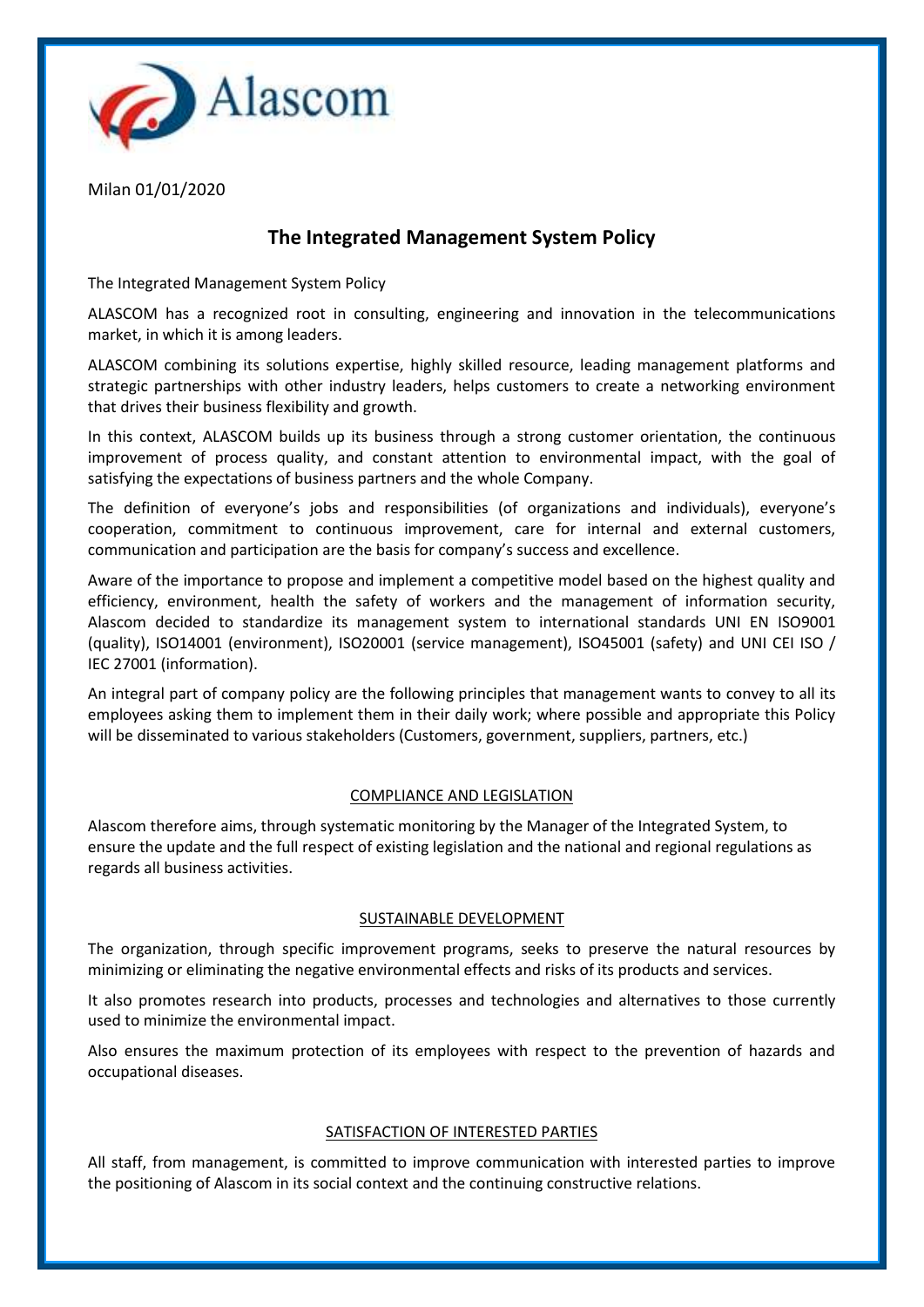

Milan 01/01/2020

# **The Integrated Management System Policy**

The Integrated Management System Policy

ALASCOM has a recognized root in consulting, engineering and innovation in the telecommunications market, in which it is among leaders.

ALASCOM combining its solutions expertise, highly skilled resource, leading management platforms and strategic partnerships with other industry leaders, helps customers to create a networking environment that drives their business flexibility and growth.

In this context, ALASCOM builds up its business through a strong customer orientation, the continuous improvement of process quality, and constant attention to environmental impact, with the goal of satisfying the expectations of business partners and the whole Company.

The definition of everyone's jobs and responsibilities (of organizations and individuals), everyone's cooperation, commitment to continuous improvement, care for internal and external customers, communication and participation are the basis for company's success and excellence.

Aware of the importance to propose and implement a competitive model based on the highest quality and efficiency, environment, health the safety of workers and the management of information security, Alascom decided to standardize its management system to international standards UNI EN ISO9001 (quality), ISO14001 (environment), ISO20001 (service management), ISO45001 (safety) and UNI CEI ISO / IEC 27001 (information).

An integral part of company policy are the following principles that management wants to convey to all its employees asking them to implement them in their daily work; where possible and appropriate this Policy will be disseminated to various stakeholders (Customers, government, suppliers, partners, etc.)

# COMPLIANCE AND LEGISLATION

Alascom therefore aims, through systematic monitoring by the Manager of the Integrated System, to ensure the update and the full respect of existing legislation and the national and regional regulations as regards all business activities.

# SUSTAINABLE DEVELOPMENT

The organization, through specific improvement programs, seeks to preserve the natural resources by minimizing or eliminating the negative environmental effects and risks of its products and services.

It also promotes research into products, processes and technologies and alternatives to those currently used to minimize the environmental impact.

Also ensures the maximum protection of its employees with respect to the prevention of hazards and occupational diseases.

## SATISFACTION OF INTERESTED PARTIES

All staff, from management, is committed to improve communication with interested parties to improve the positioning of Alascom in its social context and the continuing constructive relations.